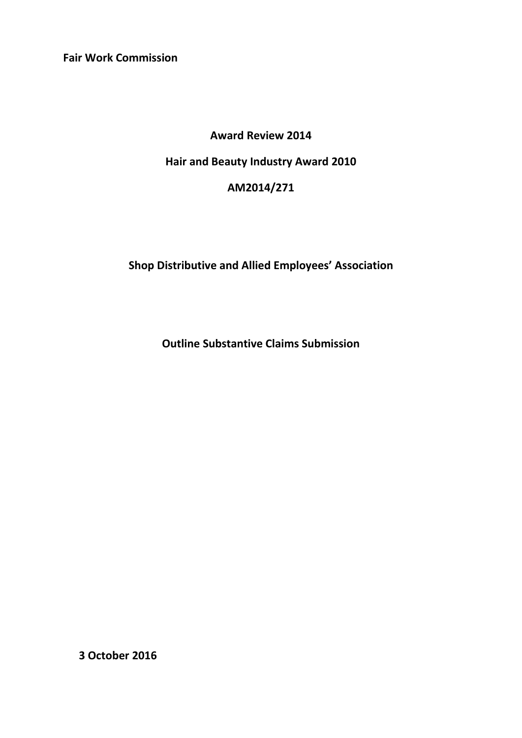**Fair Work Commission** 

## **Award Review 2014**

# **Hair and Beauty Industry Award 2010**

## **AM2014/271**

# **Shop Distributive and Allied Employees' Association**

**Outline Substantive Claims Submission** 

**3 October 2016**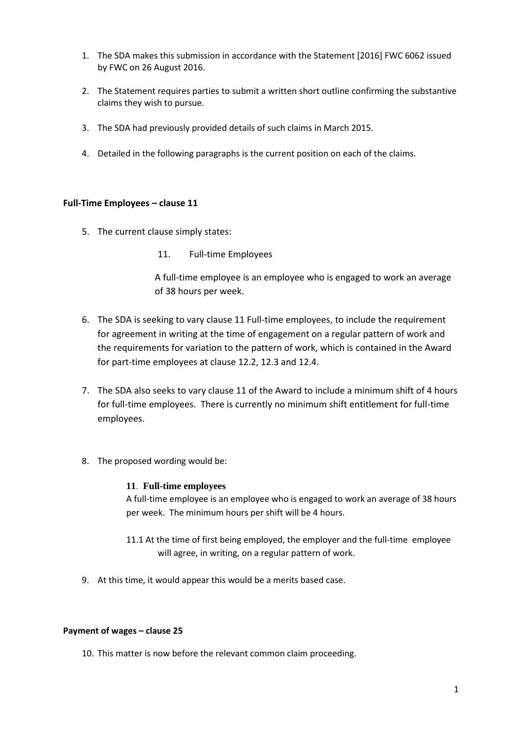- 1. The SDA makes this submission in accordance with the Statement [2016] FWC 6062 issued by FWC on 26 August 2016.
- 2. The Statement requires parties to submit a written short outline confirming the substantive claims they wish to pursue.
- 3. The SDA had previously provided details of such claims in March 2015.
- 4. Detailed in the following paragraphs is the current position on each of the claims.

#### **Full-Time Employees – clause 11**

- 5. The current clause simply states:
	- 11. Full-time Employees

A full-time employee is an employee who is engaged to work an average of 38 hours per week.

- 6. The SDA is seeking to vary clause 11 Full-time employees, to include the requirement for agreement in writing at the time of engagement on a regular pattern of work and the requirements for variation to the pattern of work, which is contained in the Award for part-time employees at clause 12.2, 12.3 and 12.4.
- 7. The SDA also seeks to vary clause 11 of the Award to include a minimum shift of 4 hours for full-time employees. There is currently no minimum shift entitlement for full-time employees.
- 8. The proposed wording would be:

#### **11**. **Full-time employees**

A full-time employee is an employee who is engaged to work an average of 38 hours per week. The minimum hours per shift will be 4 hours.

- 11.1 At the time of first being employed, the employer and the full-time employee will agree, in writing, on a regular pattern of work.
- 9. At this time, it would appear this would be a merits based case.

#### **Payment of wages – clause 25**

10. This matter is now before the relevant common claim proceeding.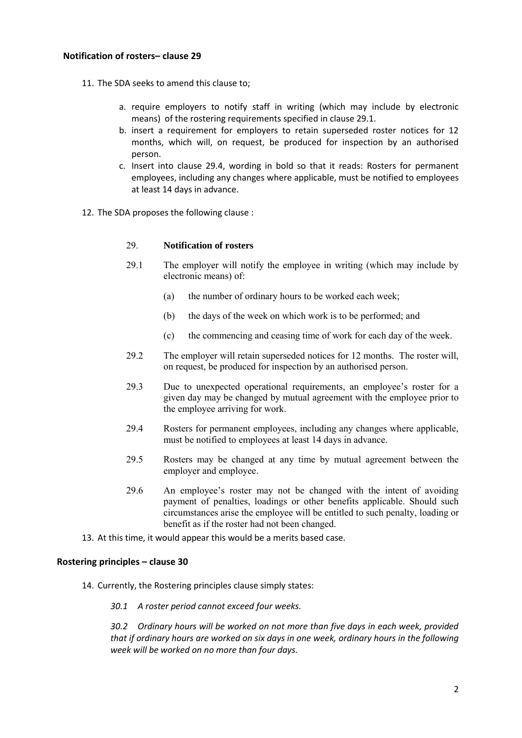## **Notification of rosters– clause 29**

- 11. The SDA seeks to amend this clause to;
	- a. require employers to notify staff in writing (which may include by electronic means) of the rostering requirements specified in clause 29.1.
	- b. insert a requirement for employers to retain superseded roster notices for 12 months, which will, on request, be produced for inspection by an authorised person.
	- c. Insert into clause 29.4, wording in bold so that it reads: Rosters for permanent employees, including any changes where applicable, must be notified to employees at least 14 days in advance.
- 12. The SDA proposes the following clause :

#### 29. **Notification of rosters**

- 29.1 The employer will notify the employee in writing (which may include by electronic means) of:
	- (a) the number of ordinary hours to be worked each week;
	- (b) the days of the week on which work is to be performed; and
	- (c) the commencing and ceasing time of work for each day of the week.
- 29.2 The employer will retain superseded notices for 12 months. The roster will, on request, be produced for inspection by an authorised person.
- 29.3 Due to unexpected operational requirements, an employee's roster for a given day may be changed by mutual agreement with the employee prior to the employee arriving for work.
- 29.4 Rosters for permanent employees, including any changes where applicable, must be notified to employees at least 14 days in advance.
- 29.5 Rosters may be changed at any time by mutual agreement between the employer and employee.
- 29.6 An employee's roster may not be changed with the intent of avoiding payment of penalties, loadings or other benefits applicable. Should such circumstances arise the employee will be entitled to such penalty, loading or benefit as if the roster had not been changed.
- 13. At this time, it would appear this would be a merits based case.

#### **Rostering principles – clause 30**

- 14. Currently, the Rostering principles clause simply states:
	- *30.1 A roster period cannot exceed four weeks.*

*30.2 Ordinary hours will be worked on not more than five days in each week, provided that if ordinary hours are worked on six days in one week, ordinary hours in the following week will be worked on no more than four days.*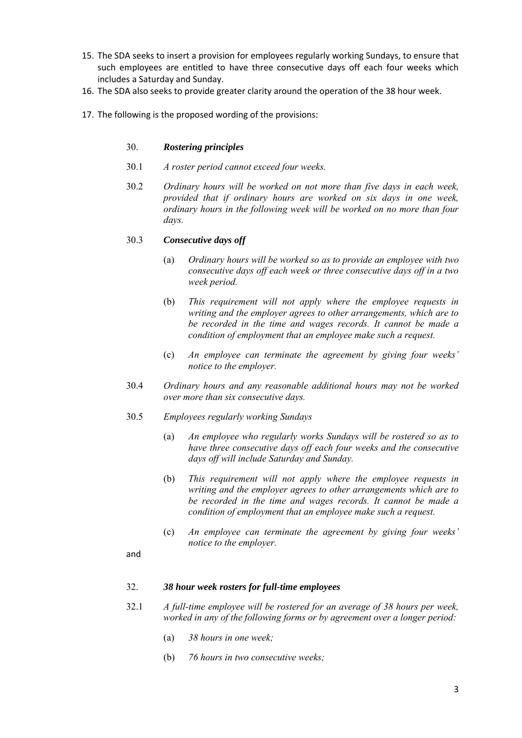- 15. The SDA seeks to insert a provision for employees regularly working Sundays, to ensure that such employees are entitled to have three consecutive days off each four weeks which includes a Saturday and Sunday.
- 16. The SDA also seeks to provide greater clarity around the operation of the 38 hour week.
- 17. The following is the proposed wording of the provisions:

### 30. *Rostering principles*

- 30.1 *A roster period cannot exceed four weeks.*
- 30.2 *Ordinary hours will be worked on not more than five days in each week, provided that if ordinary hours are worked on six days in one week, ordinary hours in the following week will be worked on no more than four days.*

## 30.3 *Consecutive days off*

- (a) *Ordinary hours will be worked so as to provide an employee with two consecutive days off each week or three consecutive days off in a two week period.*
- (b) *This requirement will not apply where the employee requests in writing and the employer agrees to other arrangements, which are to be recorded in the time and wages records. It cannot be made a condition of employment that an employee make such a request.*
- (c) *An employee can terminate the agreement by giving four weeks' notice to the employer.*
- 30.4 *Ordinary hours and any reasonable additional hours may not be worked over more than six consecutive days.*
- 30.5 *Employees regularly working Sundays* 
	- (a) *An employee who regularly works Sundays will be rostered so as to have three consecutive days off each four weeks and the consecutive days off will include Saturday and Sunday.*
	- (b) *This requirement will not apply where the employee requests in writing and the employer agrees to other arrangements which are to be recorded in the time and wages records. It cannot be made a condition of employment that an employee make such a request.*
	- (c) *An employee can terminate the agreement by giving four weeks' notice to the employer.*
- and

#### 32. *38 hour week rosters for full-time employees*

- 32.1 *A full-time employee will be rostered for an average of 38 hours per week, worked in any of the following forms or by agreement over a longer period:* 
	- (a) *38 hours in one week;*
	- (b) *76 hours in two consecutive weeks;*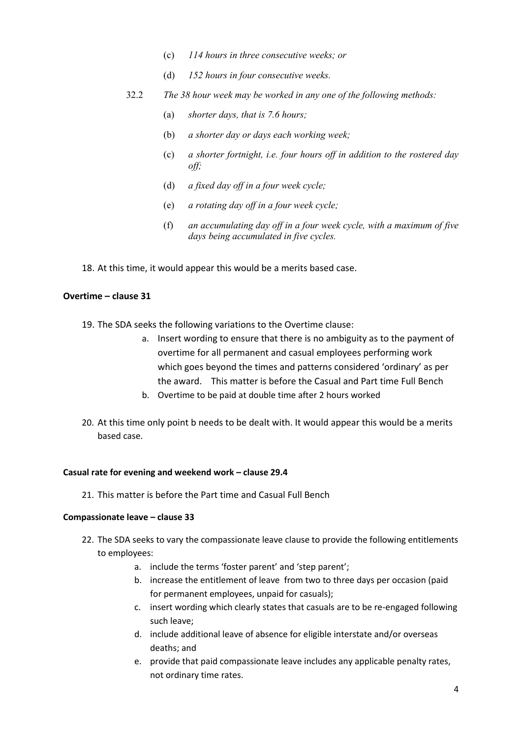- (c) *114 hours in three consecutive weeks; or*
- (d) *152 hours in four consecutive weeks.*
- 32.2 *The 38 hour week may be worked in any one of the following methods:* 
	- (a) *shorter days, that is 7.6 hours;*
	- (b) *a shorter day or days each working week;*
	- (c) *a shorter fortnight, i.e. four hours off in addition to the rostered day off;*
	- (d) *a fixed day off in a four week cycle;*
	- (e) *a rotating day off in a four week cycle;*
	- (f) *an accumulating day off in a four week cycle, with a maximum of five days being accumulated in five cycles.*

18. At this time, it would appear this would be a merits based case.

## **Overtime – clause 31**

- 19. The SDA seeks the following variations to the Overtime clause:
	- a. Insert wording to ensure that there is no ambiguity as to the payment of overtime for all permanent and casual employees performing work which goes beyond the times and patterns considered 'ordinary' as per the award. This matter is before the Casual and Part time Full Bench
	- b. Overtime to be paid at double time after 2 hours worked
- 20. At this time only point b needs to be dealt with. It would appear this would be a merits based case.

#### **Casual rate for evening and weekend work – clause 29.4**

21. This matter is before the Part time and Casual Full Bench

#### **Compassionate leave – clause 33**

- 22. The SDA seeks to vary the compassionate leave clause to provide the following entitlements to employees:
	- a. include the terms 'foster parent' and 'step parent';
	- b. increase the entitlement of leave from two to three days per occasion (paid for permanent employees, unpaid for casuals);
	- c. insert wording which clearly states that casuals are to be re-engaged following such leave;
	- d. include additional leave of absence for eligible interstate and/or overseas deaths; and
	- e. provide that paid compassionate leave includes any applicable penalty rates, not ordinary time rates.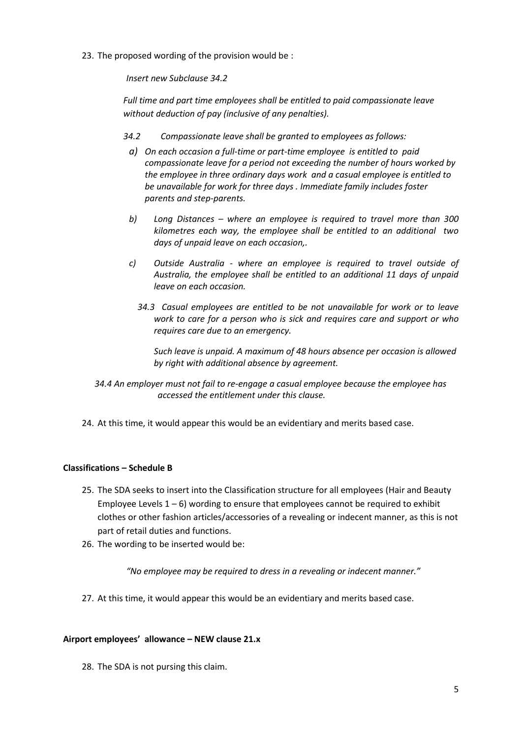23. The proposed wording of the provision would be :

*Insert new Subclause 34.2*

*Full time and part time employees shall be entitled to paid compassionate leave without deduction of pay (inclusive of any penalties).* 

- *34.2 Compassionate leave shall be granted to employees as follows:* 
	- *a) On each occasion a full-time or part-time employee is entitled to paid compassionate leave for a period not exceeding the number of hours worked by the employee in three ordinary days work and a casual employee is entitled to be unavailable for work for three days . Immediate family includes foster parents and step-parents.*
	- *b) Long Distances – where an employee is required to travel more than 300 kilometres each way, the employee shall be entitled to an additional two days of unpaid leave on each occasion,.*
	- *c) Outside Australia where an employee is required to travel outside of Australia, the employee shall be entitled to an additional 11 days of unpaid leave on each occasion.* 
		- *34.3 Casual employees are entitled to be not unavailable for work or to leave work to care for a person who is sick and requires care and support or who requires care due to an emergency.*

*Such leave is unpaid. A maximum of 48 hours absence per occasion is allowed by right with additional absence by agreement.* 

 *34.4 An employer must not fail to re-engage a casual employee because the employee has accessed the entitlement under this clause.* 

24. At this time, it would appear this would be an evidentiary and merits based case.

## **Classifications – Schedule B**

- 25. The SDA seeks to insert into the Classification structure for all employees (Hair and Beauty Employee Levels  $1 - 6$ ) wording to ensure that employees cannot be required to exhibit clothes or other fashion articles/accessories of a revealing or indecent manner, as this is not part of retail duties and functions.
- 26. The wording to be inserted would be:

*"No employee may be required to dress in a revealing or indecent manner."*

27. At this time, it would appear this would be an evidentiary and merits based case.

#### **Airport employees' allowance – NEW clause 21.x**

28. The SDA is not pursing this claim.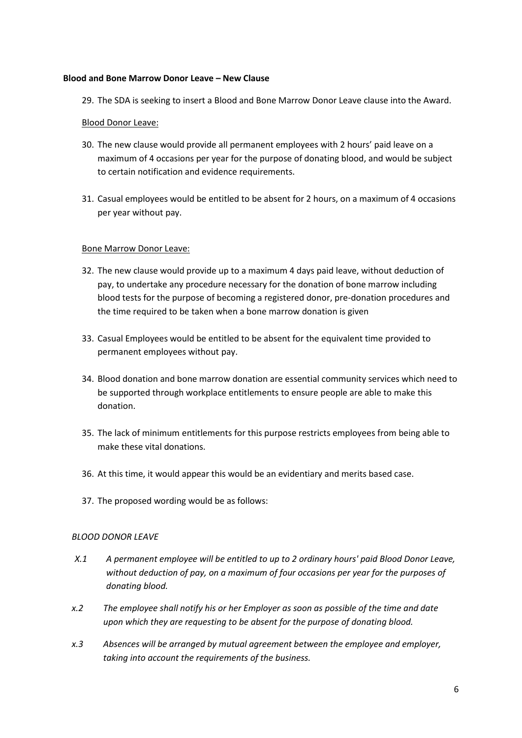#### **Blood and Bone Marrow Donor Leave – New Clause**

29. The SDA is seeking to insert a Blood and Bone Marrow Donor Leave clause into the Award.

#### Blood Donor Leave:

- 30. The new clause would provide all permanent employees with 2 hours' paid leave on a maximum of 4 occasions per year for the purpose of donating blood, and would be subject to certain notification and evidence requirements.
- 31. Casual employees would be entitled to be absent for 2 hours, on a maximum of 4 occasions per year without pay.

#### Bone Marrow Donor Leave:

- 32. The new clause would provide up to a maximum 4 days paid leave, without deduction of pay, to undertake any procedure necessary for the donation of bone marrow including blood tests for the purpose of becoming a registered donor, pre-donation procedures and the time required to be taken when a bone marrow donation is given
- 33. Casual Employees would be entitled to be absent for the equivalent time provided to permanent employees without pay.
- 34. Blood donation and bone marrow donation are essential community services which need to be supported through workplace entitlements to ensure people are able to make this donation.
- 35. The lack of minimum entitlements for this purpose restricts employees from being able to make these vital donations.
- 36. At this time, it would appear this would be an evidentiary and merits based case.
- 37. The proposed wording would be as follows:

#### *BLOOD DONOR LEAVE*

- *X.1 A permanent employee will be entitled to up to 2 ordinary hours' paid Blood Donor Leave, without deduction of pay, on a maximum of four occasions per year for the purposes of donating blood.*
- *x.2 The employee shall notify his or her Employer as soon as possible of the time and date upon which they are requesting to be absent for the purpose of donating blood.*
- *x.3 Absences will be arranged by mutual agreement between the employee and employer, taking into account the requirements of the business.*